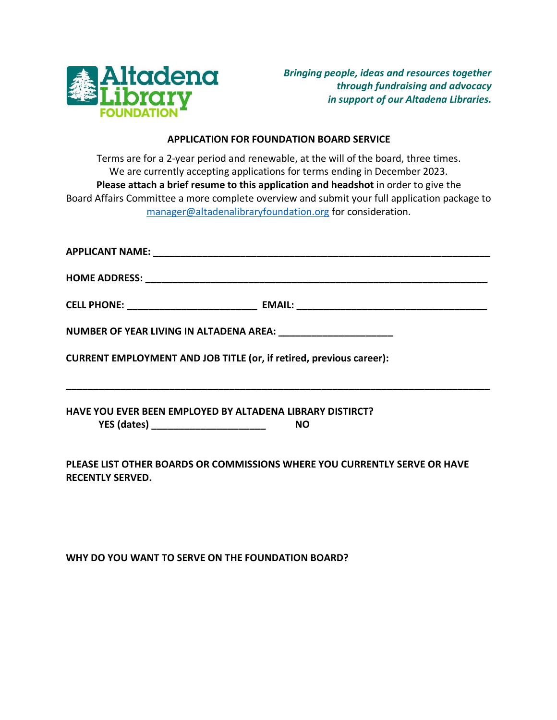

## **APPLICATION FOR FOUNDATION BOARD SERVICE**

Terms are for a 2-year period and renewable, at the will of the board, three times. We are currently accepting applications for terms ending in December 2023. **Please attach a brief resume to this application and headshot** in order to give the Board Affairs Committee a more complete overview and submit your full application package to manager@altadenalibraryfoundation.org for consideration.

| NUMBER OF YEAR LIVING IN ALTADENA AREA: _________________________             |
|-------------------------------------------------------------------------------|
| CURRENT EMPLOYMENT AND JOB TITLE (or, if retired, previous career):           |
| <b>HAVE YOU EVER BEEN EMPLOYED BY ALTADENA LIBRARY DISTIRCT?</b><br><b>NO</b> |

**PLEASE LIST OTHER BOARDS OR COMMISSIONS WHERE YOU CURRENTLY SERVE OR HAVE RECENTLY SERVED.**

**WHY DO YOU WANT TO SERVE ON THE FOUNDATION BOARD?**